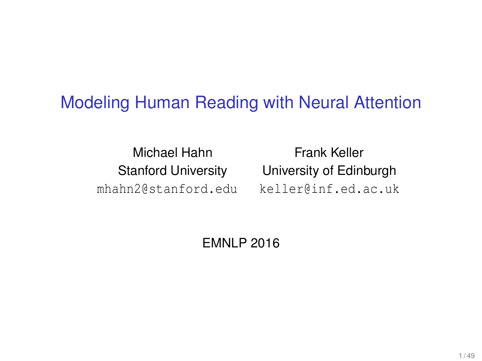#### Modeling Human Reading with Neural Attention

Michael Hahn Frank Keller mhahn2@stanford.edu keller@inf.ed.ac.uk

Stanford University University of Edinburgh

EMNLP 2016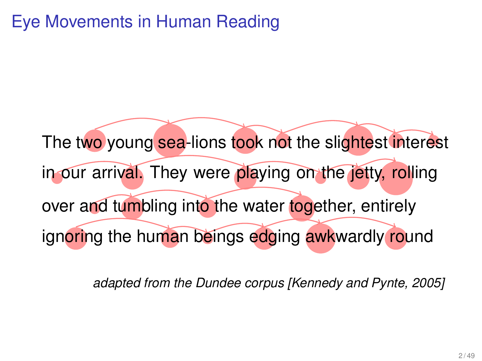The two young sea-lions took not the slightest interest in our arrival. They were playing on the jetty, rolling over and tumbling into the water together, entirely ignoring the human beings edging awkwardly round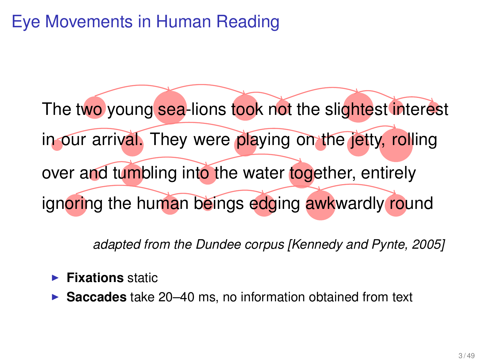The two young sea-lions took not the slightest interest in our arrival. They were playing on the jetty, rolling over and tumbling into the water together, entirely ignoring the human beings edging awkwardly round

- **Fixations** static
- **Saccades** take 20–40 ms, no information obtained from text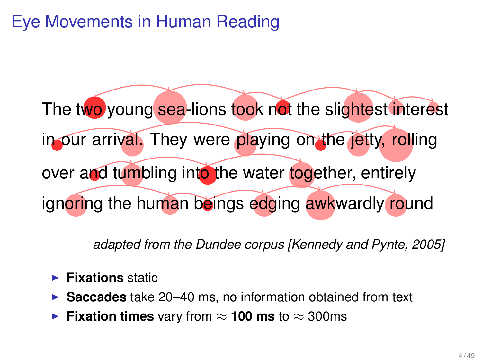The two young sea-lions took not the slightest interest in our arrival. They were playing on the jetty, rolling over and tumbling into the water together, entirely ignoring the human beings edging awkwardly round

- **Fixations** static
- **Saccades** take 20–40 ms, no information obtained from text
- **Fixation times** vary from  $\approx$  100 ms to  $\approx$  300ms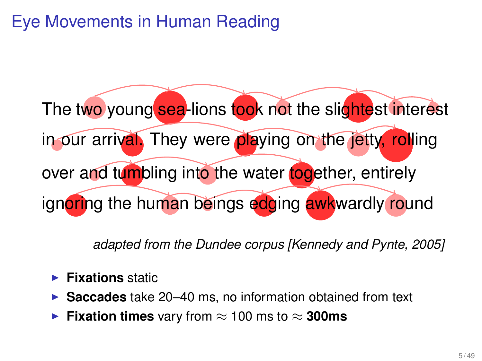The two young sea-lions took not the slightest interest in our arrival. They were playing on the jetty, rolling over and tumbling into the water together, entirely ignoring the human beings edging awkwardly round

- **Fixations** static
- **Saccades** take 20–40 ms, no information obtained from text
- **Fixation times** vary from  $\approx$  100 ms to  $\approx$  300ms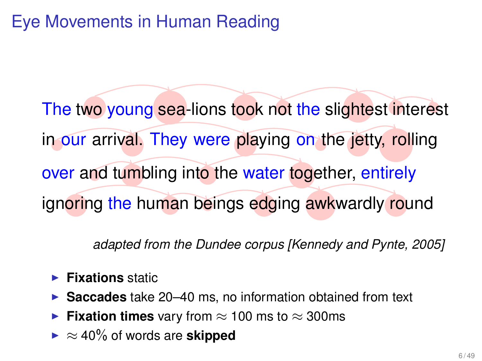The two young sea-lions took not the slightest interest in our arrival. They were playing on the jetty, rolling over and tumbling into the water together, entirely ignoring the human beings edging awkwardly round

- **Fixations** static
- ▶ Saccades take 20–40 ms, no information obtained from text
- **► Fixation times** vary from  $\approx$  100 ms to  $\approx$  300ms
- $\blacktriangleright \approx 40\%$  of words are **skipped**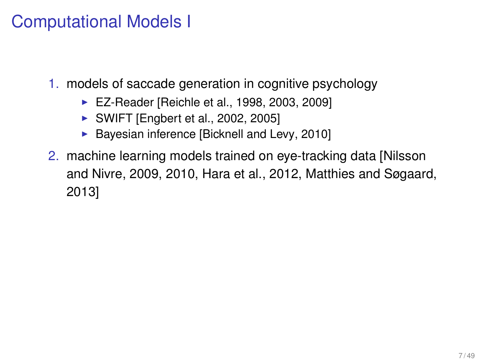## Computational Models I

- 1. models of saccade generation in cognitive psychology
	- EZ-Reader [Reichle et al., 1998, 2003, 2009]
	- $\triangleright$  SWIFT [Engbert et al., 2002, 2005]
	- $\blacktriangleright$  Bayesian inference [Bicknell and Levy, 2010]
- 2. machine learning models trained on eye-tracking data [Nilsson and Nivre, 2009, 2010, Hara et al., 2012, Matthies and Søgaard, 2013]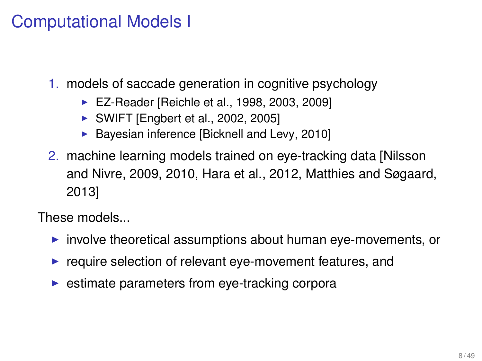## Computational Models I

1. models of saccade generation in cognitive psychology

- ▶ EZ-Reader [Reichle et al., 1998, 2003, 2009]
- $\triangleright$  SWIFT [Engbert et al., 2002, 2005]
- $\blacktriangleright$  Bayesian inference [Bicknell and Levy, 2010]
- 2. machine learning models trained on eye-tracking data [Nilsson and Nivre, 2009, 2010, Hara et al., 2012, Matthies and Søgaard, 2013]

These models...

- $\triangleright$  involve theoretical assumptions about human eye-movements, or
- $\blacktriangleright$  require selection of relevant eye-movement features, and
- $\triangleright$  estimate parameters from eye-tracking corpora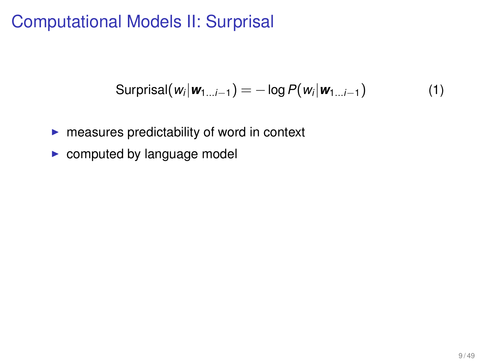## Computational Models II: Surprisal

$$
\text{Surprisal}(w_i|\mathbf{w}_{1...i-1}) = -\log P(w_i|\mathbf{w}_{1...i-1}) \tag{1}
$$

- $\blacktriangleright$  measures predictability of word in context
- $\triangleright$  computed by language model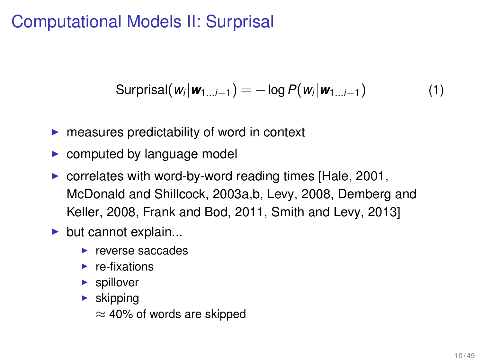## Computational Models II: Surprisal

$$
\text{Surprisal}(w_i|\mathbf{w}_{1...i-1}) = -\log P(w_i|\mathbf{w}_{1...i-1}) \tag{1}
$$

- $\blacktriangleright$  measures predictability of word in context
- $\triangleright$  computed by language model
- $\triangleright$  correlates with word-by-word reading times [Hale, 2001, McDonald and Shillcock, 2003a,b, Levy, 2008, Demberg and Keller, 2008, Frank and Bod, 2011, Smith and Levy, 2013]
- $\blacktriangleright$  but cannot explain...
	- $\blacktriangleright$  reverse saccades
	- $\blacktriangleright$  re-fixations
	- $\blacktriangleright$  spillover
	- $\blacktriangleright$  skipping
		- $\approx$  40% of words are skipped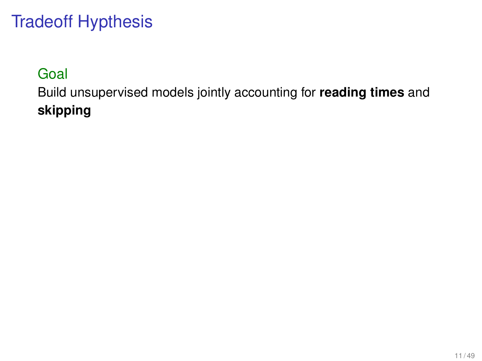# Tradeoff Hypthesis

#### Goal

Build unsupervised models jointly accounting for **reading times** and **skipping**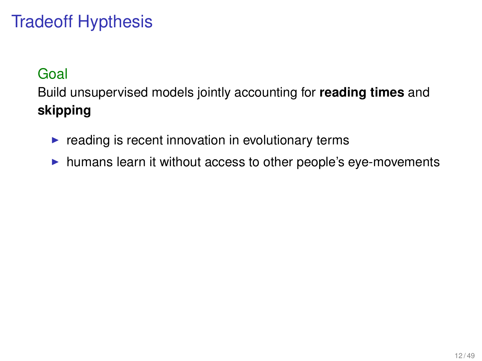# Tradeoff Hypthesis

#### Goal

Build unsupervised models jointly accounting for **reading times** and **skipping**

- $\blacktriangleright$  reading is recent innovation in evolutionary terms
- $\blacktriangleright$  humans learn it without access to other people's eye-movements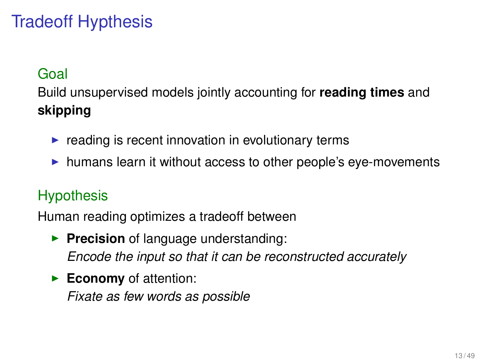# Tradeoff Hypthesis

#### Goal

Build unsupervised models jointly accounting for **reading times** and **skipping**

- $\blacktriangleright$  reading is recent innovation in evolutionary terms
- $\blacktriangleright$  humans learn it without access to other people's eye-movements

#### **Hypothesis**

Human reading optimizes a tradeoff between

- **Precision** of language understanding: *Encode the input so that it can be reconstructed accurately*
- **Economy** of attention:

*Fixate as few words as possible*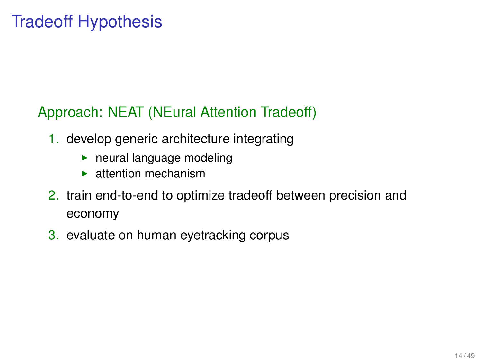# Tradeoff Hypothesis

#### Approach: NEAT (NEural Attention Tradeoff)

- 1. develop generic architecture integrating
	- $\blacktriangleright$  neural language modeling
	- $\blacktriangleright$  attention mechanism
- 2. train end-to-end to optimize tradeoff between precision and economy
- 3. evaluate on human eyetracking corpus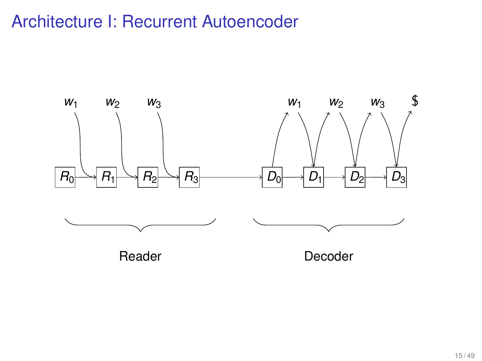## Architecture I: Recurrent Autoencoder

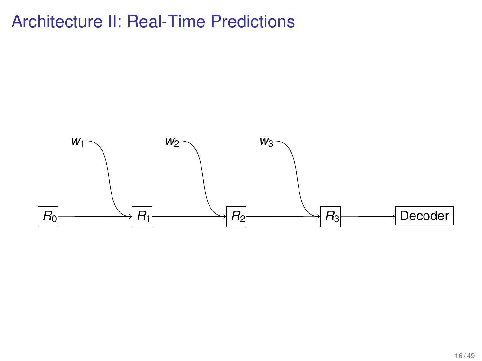## Architecture II: Real-Time Predictions

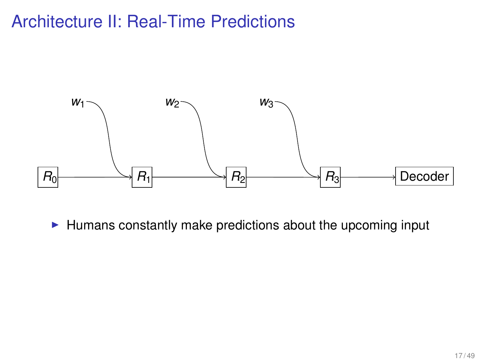## Architecture II: Real-Time Predictions



 $\blacktriangleright$  Humans constantly make predictions about the upcoming input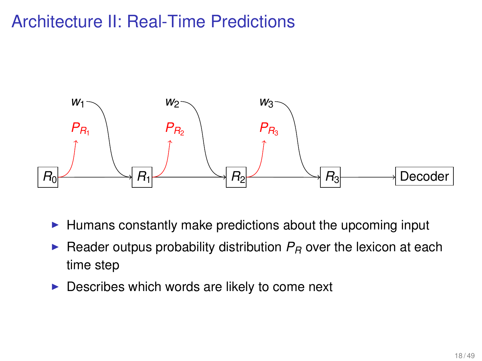## Architecture II: Real-Time Predictions



- $\blacktriangleright$  Humans constantly make predictions about the upcoming input
- $\triangleright$  Reader outpus probability distribution  $P_R$  over the lexicon at each time step
- $\triangleright$  Describes which words are likely to come next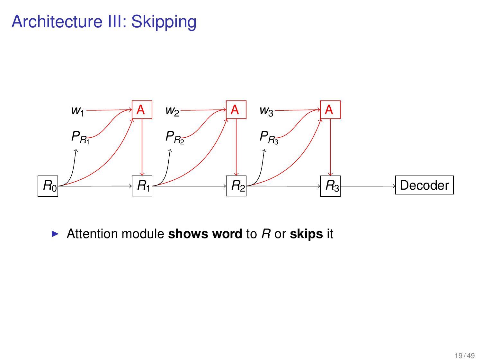## Architecture III: Skipping



▶ Attention module **shows word** to *R* or **skips** it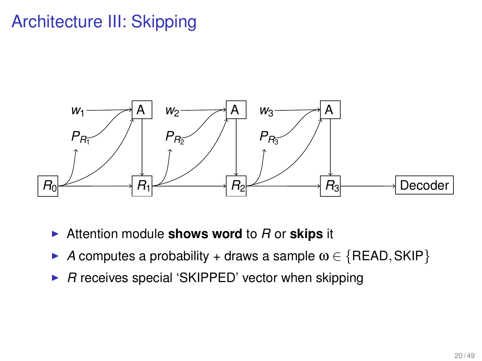## Architecture III: Skipping



- <sup>I</sup> Attention module **shows word** to *R* or **skips** it
- A computes a probability + draws a sample  $\omega \in \{READ, SKIP\}$
- ▶ *R* receives special 'SKIPPED' vector when skipping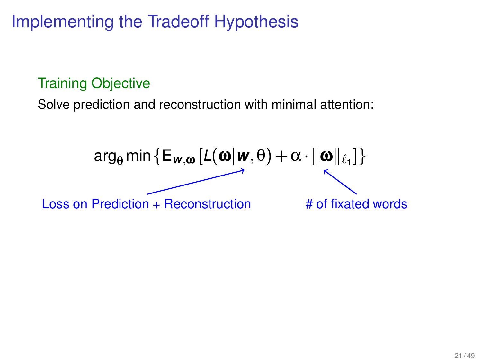# Implementing the Tradeoff Hypothesis

#### Training Objective

Solve prediction and reconstruction with minimal attention:

$$
\arg_{\theta} \min \{ \mathsf{E}_{\mathbf{w}, \mathbf{\omega}} \left[ L(\mathbf{\omega} | \mathbf{w}, \theta) + \alpha \cdot ||\mathbf{\omega}||_{\ell_1} \right] \}
$$
  
Loss on Prediction + Reconstruction # of fixated words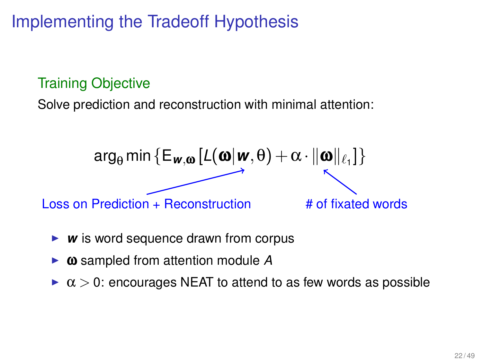# Implementing the Tradeoff Hypothesis

#### Training Objective

Solve prediction and reconstruction with minimal attention:



- **w** is word sequence drawn from corpus
- $\omega$  sampled from attention module A
- $\alpha > 0$ : encourages NEAT to attend to as few words as possible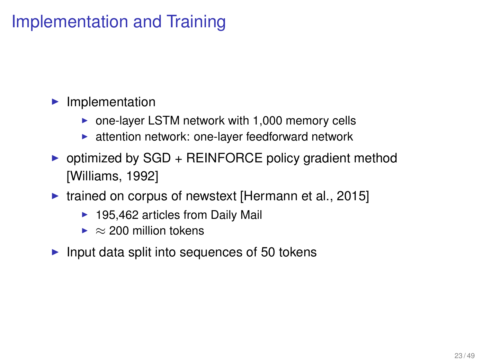## Implementation and Training

- $\blacktriangleright$  Implementation
	- $\triangleright$  one-layer LSTM network with 1,000 memory cells
	- $\blacktriangleright$  attention network: one-layer feedforward network
- $\triangleright$  optimized by SGD + REINFORCE policy gradient method [Williams, 1992]
- $\triangleright$  trained on corpus of newstext [Hermann et al., 2015]
	- $\blacktriangleright$  195,462 articles from Daily Mail
	- $\blacktriangleright \approx 200$  million tokens
- $\blacktriangleright$  Input data split into sequences of 50 tokens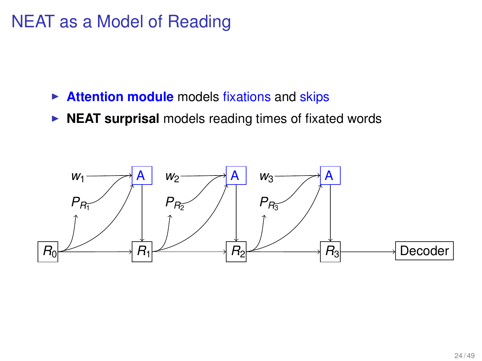### NEAT as a Model of Reading

- **Attention module** models fixations and skips
- **NEAT surprisal** models reading times of fixated words

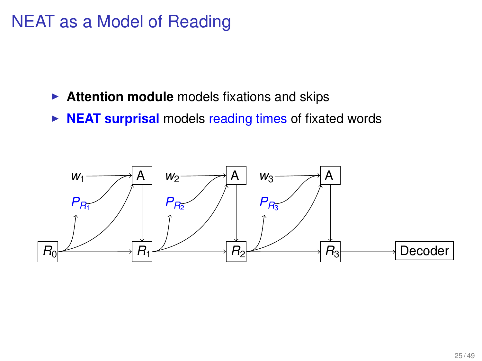### NEAT as a Model of Reading

- **Attention module** models fixations and skips
- **NEAT surprisal** models reading times of fixated words

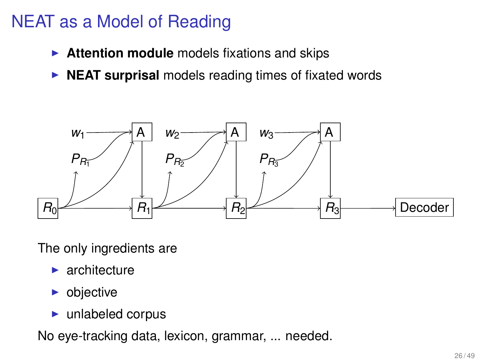## NEAT as a Model of Reading

- **Attention module** models fixations and skips
- **NEAT surprisal** models reading times of fixated words



The only ingredients are

- $\blacktriangleright$  architecture
- $\blacktriangleright$  objective
- $\blacktriangleright$  unlabeled corpus

No eye-tracking data, lexicon, grammar, ... needed.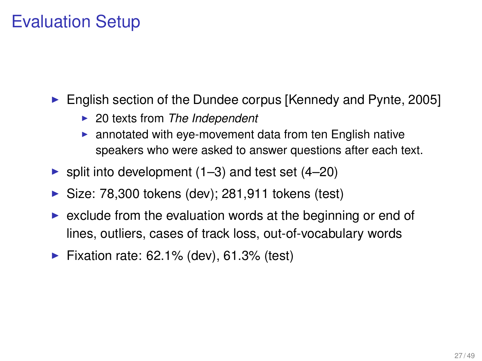## Evaluation Setup

- $\triangleright$  English section of the Dundee corpus [Kennedy and Pynte, 2005]
	- ▶ 20 texts from *The Independent*
	- $\triangleright$  annotated with eye-movement data from ten English native speakers who were asked to answer questions after each text.
- $\triangleright$  split into development (1–3) and test set (4–20)
- $\triangleright$  Size: 78,300 tokens (dev); 281,911 tokens (test)
- $\triangleright$  exclude from the evaluation words at the beginning or end of lines, outliers, cases of track loss, out-of-vocabulary words
- $\blacktriangleright$  Fixation rate: 62.1% (dev), 61.3% (test)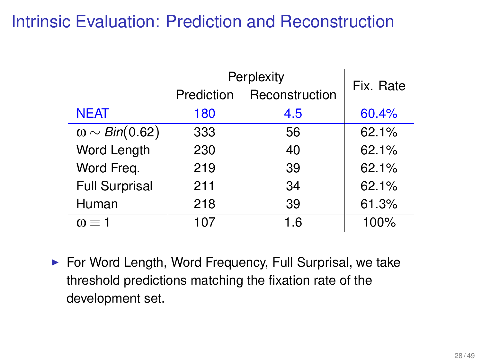## Intrinsic Evaluation: Prediction and Reconstruction

|                         | Perplexity | Fix. Rate      |       |
|-------------------------|------------|----------------|-------|
|                         | Prediction | Reconstruction |       |
| <b>NEAT</b>             | 180        | 4.5            | 60.4% |
| $\omega \sim Bin(0.62)$ | 333        | 56             | 62.1% |
| Word Length             | 230        | 40             | 62.1% |
| Word Freq.              | 219        | 39             | 62.1% |
| <b>Full Surprisal</b>   | 211        | 34             | 62.1% |
| Human                   | 218        | 39             | 61.3% |
| $\omega \equiv 1$       | 107        | 1.6            | 100%  |

 $\blacktriangleright$  For Word Length, Word Frequency, Full Surprisal, we take threshold predictions matching the fixation rate of the development set.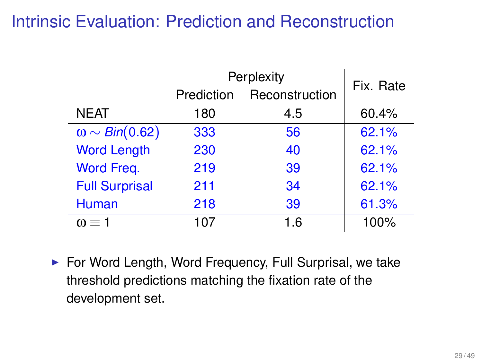## Intrinsic Evaluation: Prediction and Reconstruction

|                         | Perplexity        | Fix. Rate      |       |
|-------------------------|-------------------|----------------|-------|
|                         | <b>Prediction</b> | Reconstruction |       |
| <b>NEAT</b>             | 180               | 4.5            | 60.4% |
| $\omega \sim Bin(0.62)$ | 333               | 56             | 62.1% |
| <b>Word Length</b>      | 230               | 40             | 62.1% |
| Word Freq.              | 219               | 39             | 62.1% |
| <b>Full Surprisal</b>   | 211               | 34             | 62.1% |
| Human                   | 218               | 39             | 61.3% |
| $\omega \equiv 1$       | 107               | 1.6            | 100%  |

 $\blacktriangleright$  For Word Length, Word Frequency, Full Surprisal, we take threshold predictions matching the fixation rate of the development set.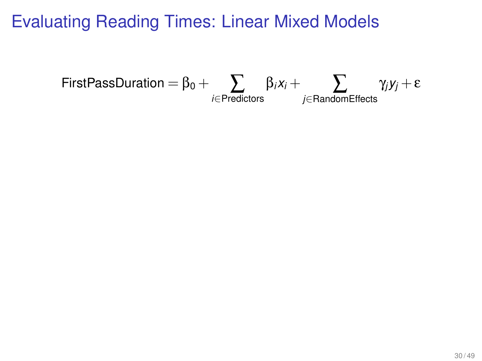$$
\text{FirstPassDuration} = \beta_0 + \sum_{i \in \text{Predictors}} \beta_i x_i + \sum_{j \in \text{RandomEffects}} \gamma_j y_j + \epsilon
$$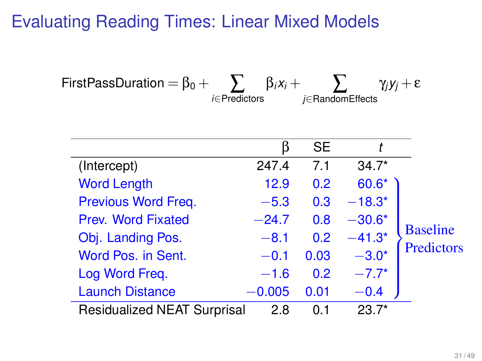$$
\text{FirstPassDuration} = \beta_0 + \sum_{i \in \text{Predictors}} \beta_i x_i + \sum_{j \in \text{RandomEffects}} \gamma_j y_j + \epsilon
$$

|                                    | ĸ        | <b>SE</b> |          |                 |
|------------------------------------|----------|-----------|----------|-----------------|
| (Intercept)                        | 247.4    | 7.1       | $34.7*$  |                 |
| <b>Word Length</b>                 | 12.9     | 0.2       | $60.6*$  |                 |
| Previous Word Freq.                | $-5.3$   | 0.3       | $-18.3*$ |                 |
| Prev. Word Fixated                 | $-24.7$  | 0.8       | $-30.6*$ |                 |
| Obj. Landing Pos.                  | $-8.1$   | 0.2       | $-41.3*$ | <b>Baseline</b> |
| Word Pos. in Sent.                 | $-0.1$   | 0.03      | $-3.0*$  | Predictors      |
| Log Word Freq.                     | $-1.6$   | 0.2       | $-7.7*$  |                 |
| <b>Launch Distance</b>             | $-0.005$ | 0.01      | $-0.4$   |                 |
| <b>Residualized NEAT Surprisal</b> | 2.8      | 0 1       | $23.7*$  |                 |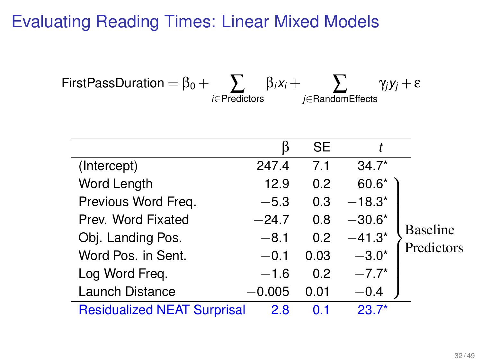$$
\text{FirstPassDuration} = \beta_0 + \sum_{i \in \text{Predictors}} \beta_i x_i + \sum_{j \in \text{RandomEffects}} \gamma_j y_j + \epsilon
$$

|                                    | ĸ        | <b>SE</b> |          |                 |
|------------------------------------|----------|-----------|----------|-----------------|
| (Intercept)                        | 247.4    | 7.1       | $34.7*$  |                 |
| Word Length                        | 12.9     | 0.2       | $60.6*$  |                 |
| Previous Word Freq.                | $-5.3$   | 0.3       | $-18.3*$ |                 |
| Prev. Word Fixated                 | $-24.7$  | 0.8       | $-30.6*$ |                 |
| Obj. Landing Pos.                  | $-8.1$   | 0.2       | $-41.3*$ | <b>Baseline</b> |
| Word Pos. in Sent.                 | $-0.1$   | 0.03      | $-3.0*$  | Predictors      |
| Log Word Freq.                     | $-1.6$   | 0.2       | $-7.7*$  |                 |
| Launch Distance                    | $-0.005$ | 0.01      | $-0.4$   |                 |
| <b>Residualized NEAT Surprisal</b> | 2.8      | ດ 1       | $23.7*$  |                 |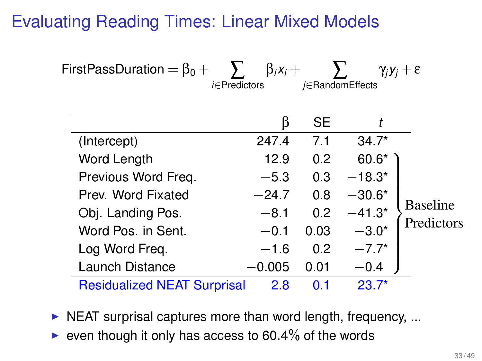$$
\text{FirstPassDuration} = \beta_0 + \sum_{i \in \text{Predictors}} \beta_i x_i + \sum_{j \in \text{RandomEffects}} \gamma_j y_j + \epsilon
$$

|                                    | ĸ        | <b>SE</b> |          |                 |
|------------------------------------|----------|-----------|----------|-----------------|
| (Intercept)                        | 247.4    | 7.1       | $34.7*$  |                 |
| Word Length                        | 12.9     | 0.2       | 60.6*    |                 |
| Previous Word Freg.                | $-5.3$   | 0.3       | $-18.3*$ |                 |
| Prev. Word Fixated                 | $-24.7$  | 0.8       | $-30.6*$ |                 |
| Obj. Landing Pos.                  | $-8.1$   | 0.2       | $-41.3*$ | <b>Baseline</b> |
| Word Pos. in Sent.                 | $-0.1$   | 0.03      | $-3.0*$  | Predictors      |
| Log Word Freq.                     | $-1.6$   | 0.2       | $-7.7*$  |                 |
| Launch Distance                    | $-0.005$ | 0.01      | $-0.4$   |                 |
| <b>Residualized NEAT Surprisal</b> | 2.8      | ດ 1       | $23.7*$  |                 |

 $\triangleright$  NEAT surprisal captures more than word length, frequency, ...

 $\triangleright$  even though it only has access to 60.4% of the words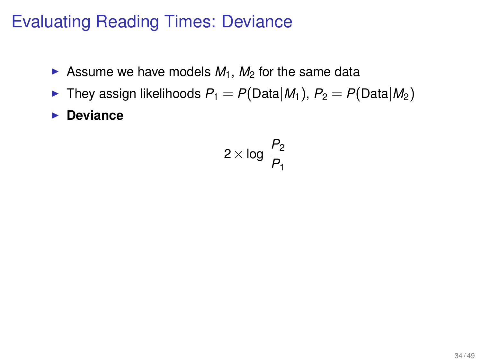## Evaluating Reading Times: Deviance

- $\triangleright$  Assume we have models  $M_1$ ,  $M_2$  for the same data
- $\blacktriangleright$  They assign likelihoods  $P_1 = P(\text{Data}|M_1), P_2 = P(\text{Data}|M_2)$
- **Deviance**

$$
2 \times \log \frac{P_2}{P_1}
$$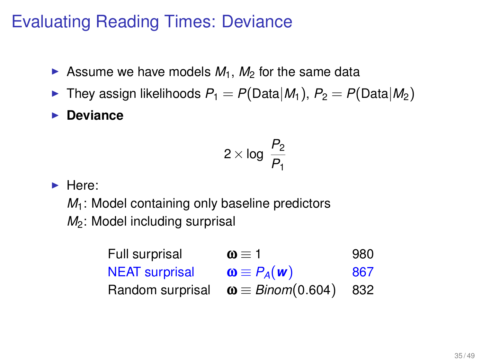# Evaluating Reading Times: Deviance

- Assume we have models  $M_1$ ,  $M_2$  for the same data
- $\blacktriangleright$  They assign likelihoods  $P_1 = P(\text{Data}|M_1)$ ,  $P_2 = P(\text{Data}|M_2)$
- **Deviance**

$$
2 \times \log \frac{P_2}{P_1}
$$

 $\blacktriangleright$  Here:

*M*<sub>1</sub>: Model containing only baseline predictors *M*<sub>2</sub>: Model including surprisal

| Full surprisal        | $\omega \equiv 1$                             | 980  |
|-----------------------|-----------------------------------------------|------|
| <b>NEAT</b> surprisal | $\mathbf{\omega} \equiv P_A(\mathbf{w})$      | 867  |
|                       | Random surprisal $\omega \equiv Binom(0.604)$ | -832 |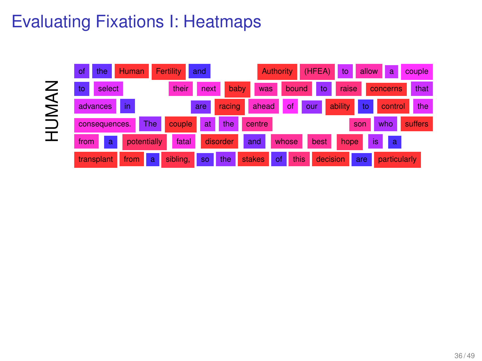# Evaluating Fixations I: Heatmaps

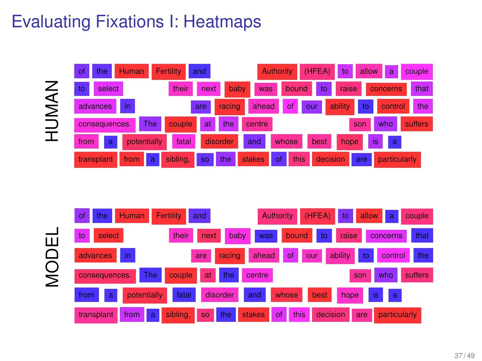# Evaluating Fixations I: Heatmaps

HUMAN



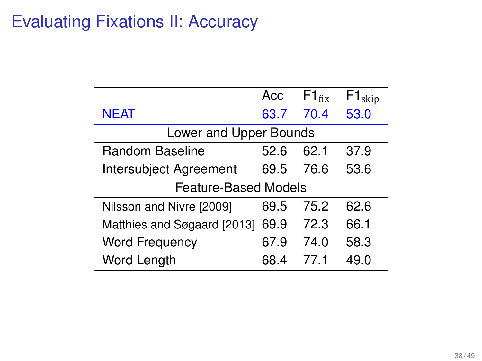|                             | Acc  | $F1_{fix}$ | $F1_{skip}$ |
|-----------------------------|------|------------|-------------|
| <b>NEAT</b>                 | 63.7 | 70.4       | 53.0        |
| Lower and Upper Bounds      |      |            |             |
| Random Baseline             | 52.6 | 62.1       | 37.9        |
| Intersubject Agreement      | 69.5 | 76.6       | 53.6        |
| <b>Feature-Based Models</b> |      |            |             |
| Nilsson and Nivre [2009]    | 69.5 | 75.2       | 62.6        |
| Matthies and Søgaard [2013] | 69.9 | 72.3       | 66.1        |
| <b>Word Frequency</b>       | 67.9 | 74.0       | 58.3        |
| Word Length                 | 68.4 | 77 1       | 49.0        |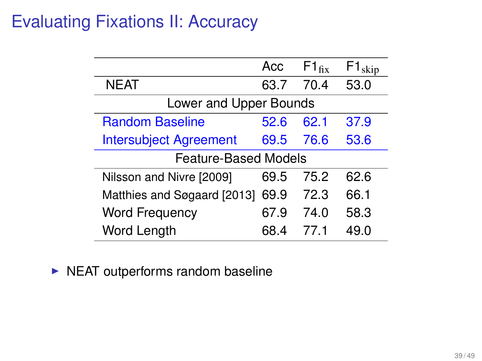|                               | Acc  | $F1_{fix}$ | skip |
|-------------------------------|------|------------|------|
| NEAT                          | 63.7 | 70.4       | 53.0 |
| Lower and Upper Bounds        |      |            |      |
| <b>Random Baseline</b>        | 52.6 | 62.1       | 37.9 |
| <b>Intersubject Agreement</b> | 69.5 | 76.6       | 53.6 |
| Feature-Based Models          |      |            |      |
| Nilsson and Nivre [2009]      | 69.5 | 75.2       | 62.6 |
| Matthies and Søgaard [2013]   | 69.9 | 72.3       | 66.1 |
| <b>Word Frequency</b>         | 67.9 | 74.0       | 58.3 |
| Word Length                   | 68 4 | 77 1       | 49 N |

 $\triangleright$  NEAT outperforms random baseline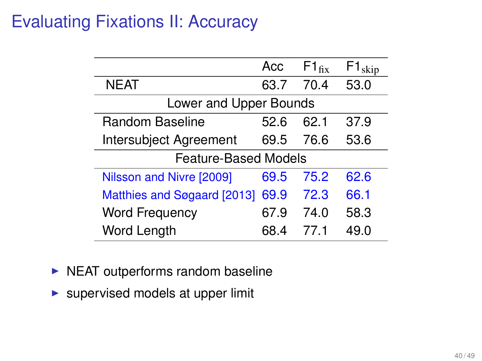|                             | Acc  | $F1_{fix}$ | $F1_{skip}$ |
|-----------------------------|------|------------|-------------|
| NEAT                        | 63.7 | 70.4       | 53.0        |
| Lower and Upper Bounds      |      |            |             |
| Random Baseline             | 52.6 | 62.1       | 37.9        |
| Intersubject Agreement      | 69.5 | 76.6       | 53.6        |
| Feature-Based Models        |      |            |             |
| Nilsson and Nivre [2009]    | 69.5 | 75.2       | 62.6        |
| Matthies and Søgaard [2013] | 69.9 | 72.3       | 66.1        |
| <b>Word Frequency</b>       | 67.9 | 74.0       | 58.3        |
| Word Length                 | 68 4 | 77 1       | 49 O        |

- $\triangleright$  NEAT outperforms random baseline
- $\blacktriangleright$  supervised models at upper limit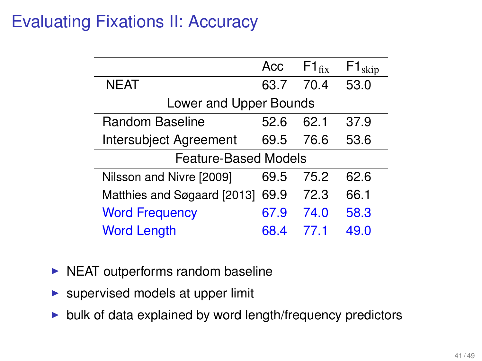|                             | Acc  | $F1_{fix}$ | $F1_{skip}$ |
|-----------------------------|------|------------|-------------|
| NEAT                        | 63.7 | 70.4       | 53.0        |
| Lower and Upper Bounds      |      |            |             |
| Random Baseline             | 52.6 | 62.1       | 37.9        |
| Intersubject Agreement      | 69.5 | 76.6       | 53.6        |
| Feature-Based Models        |      |            |             |
| Nilsson and Nivre [2009]    | 69.5 | 75.2       | 62.6        |
| Matthies and Søgaard [2013] | 69.9 | 72.3       | 66.1        |
| <b>Word Frequency</b>       | 67.9 | 74.0       | 58.3        |
| <b>Word Length</b>          | 68.4 | 77 1       | 49.0        |

- $\triangleright$  NEAT outperforms random baseline
- $\blacktriangleright$  supervised models at upper limit
- $\triangleright$  bulk of data explained by word length/frequency predictors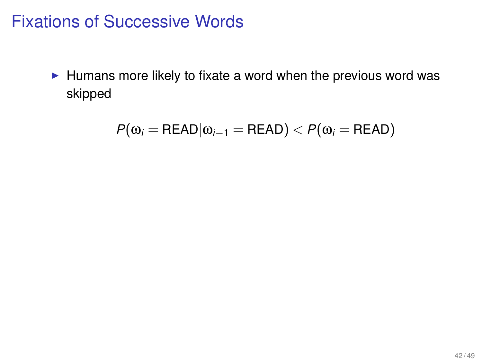### Fixations of Successive Words

 $\blacktriangleright$  Humans more likely to fixate a word when the previous word was skipped

$$
P(\omega_i = \text{READ}|\omega_{i-1} = \text{READ}) < P(\omega_i = \text{READ})
$$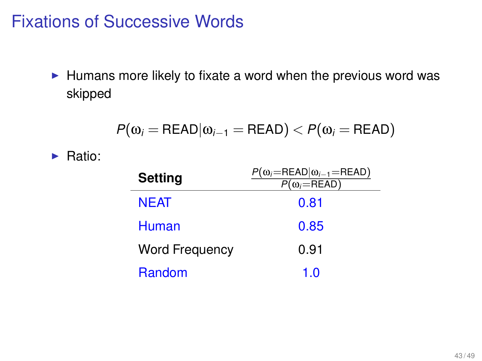### Fixations of Successive Words

 $\blacktriangleright$  Humans more likely to fixate a word when the previous word was skipped

$$
P(\omega_i = \text{READ}|\omega_{i-1} = \text{READ}) < P(\omega_i = \text{READ})
$$

 $\blacktriangleright$  Ratio:

| Setting               | $P(\omega_i = \text{READ} \omega_{i-1} = \text{READ})$<br>$P(\omega_i = READ)$ |
|-----------------------|--------------------------------------------------------------------------------|
| <b>NEAT</b>           | 0.81                                                                           |
| Human                 | 0.85                                                                           |
| <b>Word Frequency</b> | 0.91                                                                           |
| Random                | 1 በ                                                                            |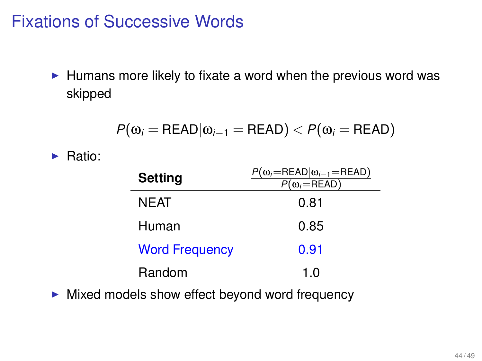## Fixations of Successive Words

 $\blacktriangleright$  Humans more likely to fixate a word when the previous word was skipped

$$
P(\omega_i = \text{READ}|\omega_{i-1} = \text{READ}) < P(\omega_i = \text{READ})
$$

 $\blacktriangleright$  Ratio:

| <b>Setting</b>        | $P(\omega_i = \text{READ} \omega_{i-1} = \text{READ})$<br>$P(\omega_i = READ)$ |
|-----------------------|--------------------------------------------------------------------------------|
| NEAT                  | 0.81                                                                           |
| Human                 | 0.85                                                                           |
| <b>Word Frequency</b> | 0.91                                                                           |
| Random                | 1 O                                                                            |

 $\blacktriangleright$  Mixed models show effect beyond word frequency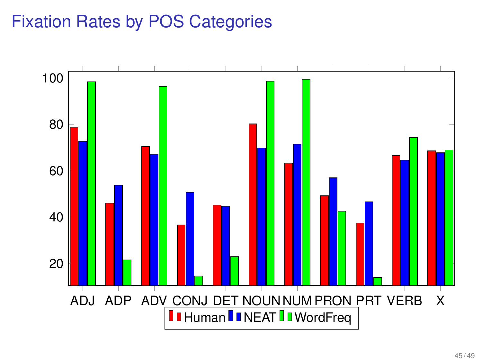# Fixation Rates by POS Categories

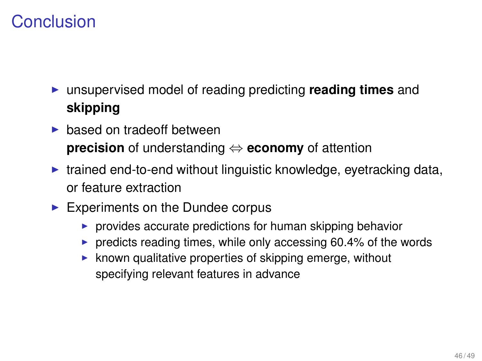## **Conclusion**

- <sup>I</sup> unsupervised model of reading predicting **reading times** and **skipping**
- $\blacktriangleright$  based on tradeoff between **precision** of understanding ⇔ **economy** of attention
- $\triangleright$  trained end-to-end without linguistic knowledge, eyetracking data, or feature extraction
- $\blacktriangleright$  Experiments on the Dundee corpus
	- $\triangleright$  provides accurate predictions for human skipping behavior
	- $\triangleright$  predicts reading times, while only accessing 60.4% of the words
	- $\triangleright$  known qualitative properties of skipping emerge, without specifying relevant features in advance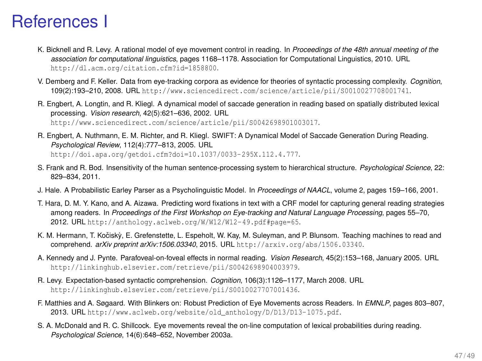#### References I

- K. Bicknell and R. Levy. A rational model of eye movement control in reading. In *Proceedings of the 48th annual meeting of the association for computational linguistics*, pages 1168–1178. Association for Computational Linguistics, 2010. URL <http://dl.acm.org/citation.cfm?id=1858800>.
- V. Demberg and F. Keller. Data from eye-tracking corpora as evidence for theories of syntactic processing complexity. *Cognition*, 109(2):193–210, 2008. URL <http://www.sciencedirect.com/science/article/pii/S0010027708001741>.
- R. Engbert, A. Longtin, and R. Kliegl. A dynamical model of saccade generation in reading based on spatially distributed lexical processing. *Vision research*, 42(5):621–636, 2002. URL <http://www.sciencedirect.com/science/article/pii/S0042698901003017>.
- R. Engbert, A. Nuthmann, E. M. Richter, and R. Kliegl. SWIFT: A Dynamical Model of Saccade Generation During Reading. *Psychological Review*, 112(4):777–813, 2005. URL <http://doi.apa.org/getdoi.cfm?doi=10.1037/0033-295X.112.4.777>.
- S. Frank and R. Bod. Insensitivity of the human sentence-processing system to hierarchical structure. *Psychological Science*, 22: 829–834, 2011.
- J. Hale. A Probabilistic Earley Parser as a Psycholinguistic Model. In *Proceedings of NAACL*, volume 2, pages 159–166, 2001.
- T. Hara, D. M. Y. Kano, and A. Aizawa. Predicting word fixations in text with a CRF model for capturing general reading strategies among readers. In *Proceedings of the First Workshop on Eye-tracking and Natural Language Processing*, pages 55–70, 2012. URL <http://anthology.aclweb.org/W/W12/W12-49.pdf#page=65>.
- K. M. Hermann, T. Kočiskỳ, E. Grefenstette, L. Espeholt, W. Kay, M. Suleyman, and P. Blunsom. Teaching machines to read and comprehend. *arXiv preprint arXiv:1506.03340*, 2015. URL <http://arxiv.org/abs/1506.03340>.
- A. Kennedy and J. Pynte. Parafoveal-on-foveal effects in normal reading. *Vision Research*, 45(2):153–168, January 2005. URL <http://linkinghub.elsevier.com/retrieve/pii/S0042698904003979>.
- R. Levy. Expectation-based syntactic comprehension. *Cognition*, 106(3):1126–1177, March 2008. URL <http://linkinghub.elsevier.com/retrieve/pii/S0010027707001436>.
- F. Matthies and A. Søgaard. With Blinkers on: Robust Prediction of Eye Movements across Readers. In *EMNLP*, pages 803–807, 2013. URL [http://www.aclweb.org/website/old\\_anthology/D/D13/D13-1075.pdf](http://www.aclweb.org/website/old_anthology/D/D13/D13-1075.pdf).
- S. A. McDonald and R. C. Shillcock. Eye movements reveal the on-line computation of lexical probabilities during reading. *Psychological Science*, 14(6):648–652, November 2003a.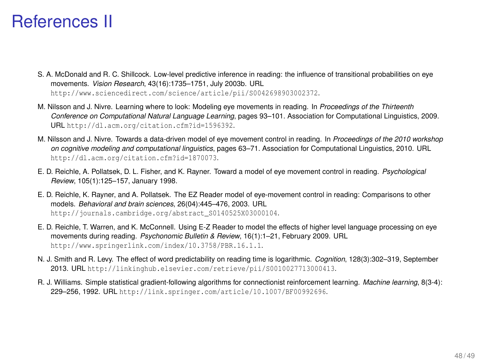#### References II

- S. A. McDonald and R. C. Shillcock. Low-level predictive inference in reading: the influence of transitional probabilities on eye movements. *Vision Research*, 43(16):1735–1751, July 2003b. URL <http://www.sciencedirect.com/science/article/pii/S0042698903002372>.
- M. Nilsson and J. Nivre. Learning where to look: Modeling eye movements in reading. In *Proceedings of the Thirteenth Conference on Computational Natural Language Learning*, pages 93–101. Association for Computational Linguistics, 2009. URL <http://dl.acm.org/citation.cfm?id=1596392>.
- M. Nilsson and J. Nivre. Towards a data-driven model of eye movement control in reading. In *Proceedings of the 2010 workshop on cognitive modeling and computational linguistics*, pages 63–71. Association for Computational Linguistics, 2010. URL <http://dl.acm.org/citation.cfm?id=1870073>.
- E. D. Reichle, A. Pollatsek, D. L. Fisher, and K. Rayner. Toward a model of eye movement control in reading. *Psychological Review*, 105(1):125–157, January 1998.
- E. D. Reichle, K. Rayner, and A. Pollatsek. The EZ Reader model of eye-movement control in reading: Comparisons to other models. *Behavioral and brain sciences*, 26(04):445–476, 2003. URL [http://journals.cambridge.org/abstract\\_S0140525X03000104](http://journals.cambridge.org/abstract_S0140525X03000104).
- E. D. Reichle, T. Warren, and K. McConnell. Using E-Z Reader to model the effects of higher level language processing on eye movements during reading. *Psychonomic Bulletin & Review*, 16(1):1–21, February 2009. URL <http://www.springerlink.com/index/10.3758/PBR.16.1.1>.
- N. J. Smith and R. Levy. The effect of word predictability on reading time is logarithmic. *Cognition*, 128(3):302–319, September 2013. URL <http://linkinghub.elsevier.com/retrieve/pii/S0010027713000413>.
- R. J. Williams. Simple statistical gradient-following algorithms for connectionist reinforcement learning. *Machine learning*, 8(3-4): 229–256, 1992. URL <http://link.springer.com/article/10.1007/BF00992696>.